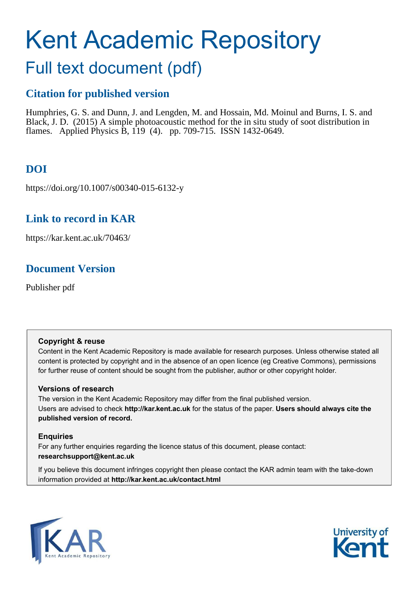# Kent Academic Repository

# Full text document (pdf)

# **Citation for published version**

Humphries, G. S. and Dunn, J. and Lengden, M. and Hossain, Md. Moinul and Burns, I. S. and Black, J. D. (2015) A simple photoacoustic method for the in situ study of soot distribution in flames. Applied Physics B, 119 (4). pp. 709-715. ISSN 1432-0649.

# **DOI**

https://doi.org/10.1007/s00340-015-6132-y

# **Link to record in KAR**

https://kar.kent.ac.uk/70463/

# **Document Version**

Publisher pdf

## **Copyright & reuse**

Content in the Kent Academic Repository is made available for research purposes. Unless otherwise stated all content is protected by copyright and in the absence of an open licence (eg Creative Commons), permissions for further reuse of content should be sought from the publisher, author or other copyright holder.

## **Versions of research**

The version in the Kent Academic Repository may differ from the final published version. Users are advised to check **http://kar.kent.ac.uk** for the status of the paper. **Users should always cite the published version of record.**

## **Enquiries**

For any further enquiries regarding the licence status of this document, please contact: **researchsupport@kent.ac.uk**

If you believe this document infringes copyright then please contact the KAR admin team with the take-down information provided at **http://kar.kent.ac.uk/contact.html**



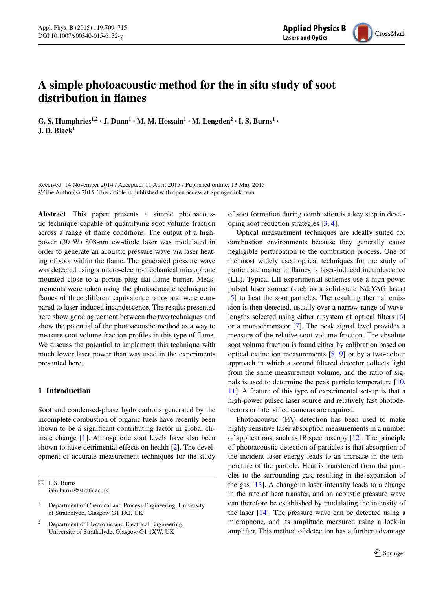

## **A simple photoacoustic method for the in situ study of soot distribution in flames**

G. S. Humphries<sup>1,2</sup>  $\cdot$  J. Dunn<sup>1</sup>  $\cdot$  M. M. Hossain<sup>1</sup>  $\cdot$  M. Lengden<sup>2</sup>  $\cdot$  I. S. Burns<sup>1</sup>  $\cdot$ **J. D. Black<sup>1</sup>**

Received: 14 November 2014 / Accepted: 11 April 2015 / Published online: 13 May 2015 © The Author(s) 2015. This article is published with open access at Springerlink.com

**Abstract** This paper presents a simple photoacoustic technique capable of quantifying soot volume fraction across a range of flame conditions. The output of a highpower (30 W) 808-nm cw-diode laser was modulated in order to generate an acoustic pressure wave via laser heating of soot within the flame. The generated pressure wave was detected using a micro-electro-mechanical microphone mounted close to a porous-plug flat-flame burner. Measurements were taken using the photoacoustic technique in flames of three different equivalence ratios and were compared to laser-induced incandescence. The results presented here show good agreement between the two techniques and show the potential of the photoacoustic method as a way to measure soot volume fraction profiles in this type of flame. We discuss the potential to implement this technique with much lower laser power than was used in the experiments presented here.

### **1 Introduction**

Soot and condensed-phase hydrocarbons generated by the incomplete combustion of organic fuels have recently been shown to be a significant contributing factor in global climate change [\[1](#page-6-12)]. Atmospheric soot levels have also been shown to have detrimental effects on health [[2\]](#page-6-13). The development of accurate measurement techniques for the study

 $\boxtimes$  I. S. Burns iain.burns@strath.ac.uk

2 Department of Electronic and Electrical Engineering, University of Strathclyde, Glasgow G1 1XW, UK

<span id="page-1-0"></span>of soot formation during combustion is a key step in developing soot reduction strategies [\[3](#page-6-0), [4](#page-6-1)].

Optical measurement techniques are ideally suited for combustion environments because they generally cause negligible perturbation to the combustion process. One of the most widely used optical techniques for the study of particulate matter in flames is laser-induced incandescence (LII). Typical LII experimental schemes use a high-power pulsed laser source (such as a solid-state Nd:YAG laser) [\[5](#page-6-2)] to heat the soot particles. The resulting thermal emission is then detected, usually over a narrow range of wavelengths selected using either a system of optical filters [[6\]](#page-6-3) or a monochromator [[7\]](#page-6-4). The peak signal level provides a measure of the relative soot volume fraction. The absolute soot volume fraction is found either by calibration based on optical extinction measurements [\[8](#page-6-5), [9](#page-6-6)] or by a two-colour approach in which a second filtered detector collects light from the same measurement volume, and the ratio of signals is used to determine the peak particle temperature [[10,](#page-6-7) [11](#page-6-8)]. A feature of this type of experimental set-up is that a high-power pulsed laser source and relatively fast photodetectors or intensified cameras are required.

Photoacoustic (PA) detection has been used to make highly sensitive laser absorption measurements in a number of applications, such as IR spectroscopy [\[12](#page-6-9)]. The principle of photoacoustic detection of particles is that absorption of the incident laser energy leads to an increase in the temperature of the particle. Heat is transferred from the particles to the surrounding gas, resulting in the expansion of the gas [[13\]](#page-6-10). A change in laser intensity leads to a change in the rate of heat transfer, and an acoustic pressure wave can therefore be established by modulating the intensity of the laser [[14\]](#page-6-11). The pressure wave can be detected using a microphone, and its amplitude measured using a lock-in amplifier. This method of detection has a further advantage

<sup>1</sup> Department of Chemical and Process Engineering, University of Strathclyde, Glasgow G1 1XJ, UK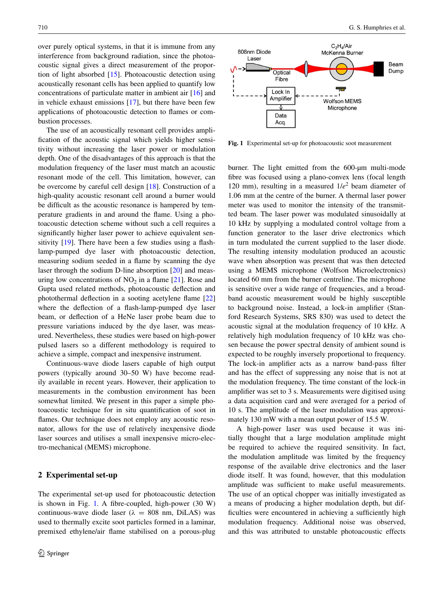over purely optical systems, in that it is immune from any interference from background radiation, since the photoacoustic signal gives a direct measurement of the proportion of light absorbed [[15\]](#page-6-14). Photoacoustic detection using acoustically resonant cells has been applied to quantify low concentrations of particulate matter in ambient air [[16\]](#page-6-15) and in vehicle exhaust emissions [\[17](#page-6-16)], but there have been few applications of photoacoustic detection to flames or combustion processes.

The use of an acoustically resonant cell provides amplification of the acoustic signal which yields higher sensitivity without increasing the laser power or modulation depth. One of the disadvantages of this approach is that the modulation frequency of the laser must match an acoustic resonant mode of the cell. This limitation, however, can be overcome by careful cell design [[18\]](#page-6-17). Construction of a high-quality acoustic resonant cell around a burner would be difficult as the acoustic resonance is hampered by temperature gradients in and around the flame. Using a photoacoustic detection scheme without such a cell requires a significantly higher laser power to achieve equivalent sensitivity [\[19](#page-6-18)]. There have been a few studies using a flashlamp-pumped dye laser with photoacoustic detection, measuring sodium seeded in a flame by scanning the dye laser through the sodium D-line absorption [[20\]](#page-6-19) and measuring low concentrations of  $NO<sub>2</sub>$  in a flame [[21\]](#page-6-20). Rose and Gupta used related methods, photoacoustic deflection and photothermal deflection in a sooting acetylene flame [[22\]](#page-6-21) where the deflection of a flash-lamp-pumped dye laser beam, or deflection of a HeNe laser probe beam due to pressure variations induced by the dye laser, was measured. Nevertheless, these studies were based on high-power pulsed lasers so a different methodology is required to achieve a simple, compact and inexpensive instrument.

Continuous-wave diode lasers capable of high output powers (typically around 30–50 W) have become readily available in recent years. However, their application to measurements in the combustion environment has been somewhat limited. We present in this paper a simple photoacoustic technique for in situ quantification of soot in flames. Our technique does not employ any acoustic resonator, allows for the use of relatively inexpensive diode laser sources and utilises a small inexpensive micro-electro-mechanical (MEMS) microphone.

#### **2 Experimental set-up**

The experimental set-up used for photoacoustic detection is shown in Fig. [1](#page-1-0). A fibre-coupled, high-power (30 W) continuous-wave diode laser ( $\lambda = 808$  nm, DiLAS) was used to thermally excite soot particles formed in a laminar, premixed ethylene/air flame stabilised on a porous-plug



**Fig. 1** Experimental set-up for photoacoustic soot measurement

<span id="page-2-0"></span>burner. The light emitted from the 600-um multi-mode fibre was focused using a plano-convex lens (focal length 120 mm), resulting in a measured  $1/e^2$  beam diameter of 1.06 mm at the centre of the burner. A thermal laser power meter was used to monitor the intensity of the transmitted beam. The laser power was modulated sinusoidally at 10 kHz by supplying a modulated control voltage from a function generator to the laser drive electronics which in turn modulated the current supplied to the laser diode. The resulting intensity modulation produced an acoustic wave when absorption was present that was then detected using a MEMS microphone (Wolfson Microelectronics) located 60 mm from the burner centreline. The microphone is sensitive over a wide range of frequencies, and a broadband acoustic measurement would be highly susceptible to background noise. Instead, a lock-in amplifier (Stanford Research Systems, SRS 830) was used to detect the acoustic signal at the modulation frequency of 10 kHz. A relatively high modulation frequency of 10 kHz was chosen because the power spectral density of ambient sound is expected to be roughly inversely proportional to frequency. The lock-in amplifier acts as a narrow band-pass filter and has the effect of suppressing any noise that is not at the modulation frequency. The time constant of the lock-in amplifier was set to 3 s. Measurements were digitised using a data acquisition card and were averaged for a period of 10 s. The amplitude of the laser modulation was approximately 130 mW with a mean output power of 15.5 W.

A high-power laser was used because it was initially thought that a large modulation amplitude might be required to achieve the required sensitivity. In fact, the modulation amplitude was limited by the frequency response of the available drive electronics and the laser diode itself. It was found, however, that this modulation amplitude was sufficient to make useful measurements. The use of an optical chopper was initially investigated as a means of producing a higher modulation depth, but difficulties were encountered in achieving a sufficiently high modulation frequency. Additional noise was observed, and this was attributed to unstable photoacoustic effects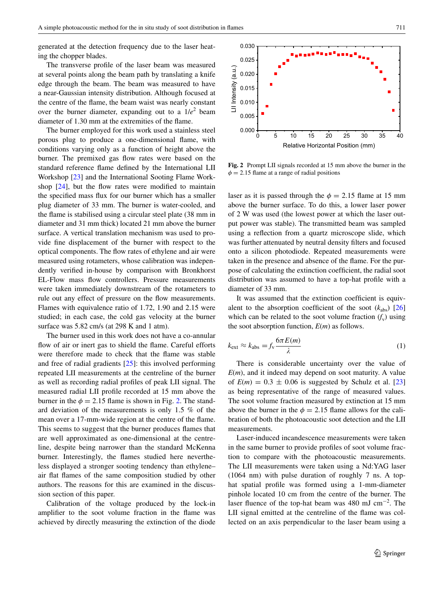generated at the detection frequency due to the laser heating the chopper blades.

The transverse profile of the laser beam was measured at several points along the beam path by translating a knife edge through the beam. The beam was measured to have a near-Gaussian intensity distribution. Although focused at the centre of the flame, the beam waist was nearly constant over the burner diameter, expanding out to a  $1/e^2$  beam diameter of 1.30 mm at the extremities of the flame.

The burner employed for this work used a stainless steel porous plug to produce a one-dimensional flame, with conditions varying only as a function of height above the burner. The premixed gas flow rates were based on the standard reference flame defined by the International LII Workshop [\[23](#page-6-22)] and the International Sooting Flame Workshop [[24\]](#page-6-23), but the flow rates were modified to maintain the specified mass flux for our burner which has a smaller plug diameter of 33 mm. The burner is water-cooled, and the flame is stabilised using a circular steel plate (38 mm in diameter and 31 mm thick) located 21 mm above the burner surface. A vertical translation mechanism was used to provide fine displacement of the burner with respect to the optical components. The flow rates of ethylene and air were measured using rotameters, whose calibration was independently verified in-house by comparison with Bronkhorst EL-Flow mass flow controllers. Pressure measurements were taken immediately downstream of the rotameters to rule out any effect of pressure on the flow measurements. Flames with equivalence ratio of 1.72, 1.90 and 2.15 were studied; in each case, the cold gas velocity at the burner surface was 5.82 cm/s (at 298 K and 1 atm).

The burner used in this work does not have a co-annular flow of air or inert gas to shield the flame. Careful efforts were therefore made to check that the flame was stable and free of radial gradients [[25\]](#page-6-24): this involved performing repeated LII measurements at the centreline of the burner as well as recording radial profiles of peak LII signal. The measured radial LII profile recorded at 15 mm above the burner in the  $\phi = 2.15$  $\phi = 2.15$  $\phi = 2.15$  flame is shown in Fig. 2. The standard deviation of the measurements is only 1.5 % of the mean over a 17-mm-wide region at the centre of the flame. This seems to suggest that the burner produces flames that are well approximated as one-dimensional at the centreline, despite being narrower than the standard McKenna burner. Interestingly, the flames studied here nevertheless displayed a stronger sooting tendency than ethylene– air flat flames of the same composition studied by other authors. The reasons for this are examined in the discussion section of this paper.

Calibration of the voltage produced by the lock-in amplifier to the soot volume fraction in the flame was achieved by directly measuring the extinction of the diode <span id="page-3-0"></span>**Fig. 2** Prompt LII signals recorded at 15 mm above the burner in the  $\phi = 2.15$  flame at a range of radial positions

laser as it is passed through the  $\phi = 2.15$  flame at 15 mm above the burner surface. To do this, a lower laser power of 2 W was used (the lowest power at which the laser output power was stable). The transmitted beam was sampled using a reflection from a quartz microscope slide, which was further attenuated by neutral density filters and focused onto a silicon photodiode. Repeated measurements were taken in the presence and absence of the flame. For the purpose of calculating the extinction coefficient, the radial soot distribution was assumed to have a top-hat profile with a diameter of 33 mm.

It was assumed that the extinction coefficient is equivalent to the absorption coefficient of the soot  $(k_{abs})$  [[26\]](#page-6-25) which can be related to the soot volume fraction  $(f_v)$  using the soot absorption function, *E*(*m*) as follows.

<span id="page-3-1"></span>
$$
k_{\rm ext} \approx k_{\rm abs} = f_{\rm v} \frac{6\pi E(m)}{\lambda} \tag{1}
$$

There is considerable uncertainty over the value of *E*(*m*), and it indeed may depend on soot maturity. A value of  $E(m) = 0.3 \pm 0.06$  is suggested by Schulz et al. [[23\]](#page-6-22) as being representative of the range of measured values. The soot volume fraction measured by extinction at 15 mm above the burner in the  $\phi = 2.15$  flame allows for the calibration of both the photoacoustic soot detection and the LII measurements.

<span id="page-3-2"></span>Laser-induced incandescence measurements were taken in the same burner to provide profiles of soot volume fraction to compare with the photoacoustic measurements. The LII measurements were taken using a Nd:YAG laser (1064 nm) with pulse duration of roughly 7 ns. A tophat spatial profile was formed using a 1-mm-diameter pinhole located 10 cm from the centre of the burner. The laser fluence of the top-hat beam was 480 mJ cm<sup>-2</sup>. The LII signal emitted at the centreline of the flame was collected on an axis perpendicular to the laser beam using a

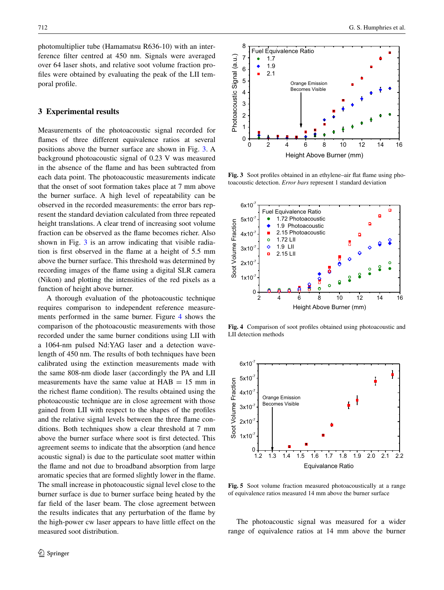photomultiplier tube (Hamamatsu R636-10) with an interference filter centred at 450 nm. Signals were averaged over 64 laser shots, and relative soot volume fraction profiles were obtained by evaluating the peak of the LII temporal profile.

#### **3 Experimental results**

<span id="page-4-0"></span>Measurements of the photoacoustic signal recorded for flames of three different equivalence ratios at several positions above the burner surface are shown in Fig. [3](#page-3-0). A background photoacoustic signal of 0.23 V was measured in the absence of the flame and has been subtracted from each data point. The photoacoustic measurements indicate that the onset of soot formation takes place at 7 mm above the burner surface. A high level of repeatability can be observed in the recorded measurements: the error bars represent the standard deviation calculated from three repeated height translations. A clear trend of increasing soot volume fraction can be observed as the flame becomes richer. Also shown in Fig. [3](#page-3-0) is an arrow indicating that visible radiation is first observed in the flame at a height of 5.5 mm above the burner surface. This threshold was determined by recording images of the flame using a digital SLR camera (Nikon) and plotting the intensities of the red pixels as a function of height above burner.

A thorough evaluation of the photoacoustic technique requires comparison to independent reference measurements performed in the same burner. Figure [4](#page-3-1) shows the comparison of the photoacoustic measurements with those recorded under the same burner conditions using LII with a 1064-nm pulsed Nd:YAG laser and a detection wavelength of 450 nm. The results of both techniques have been calibrated using the extinction measurements made with the same 808-nm diode laser (accordingly the PA and LII measurements have the same value at  $HAB = 15$  mm in the richest flame condition). The results obtained using the photoacoustic technique are in close agreement with those gained from LII with respect to the shapes of the profiles and the relative signal levels between the three flame conditions. Both techniques show a clear threshold at 7 mm above the burner surface where soot is first detected. This agreement seems to indicate that the absorption (and hence acoustic signal) is due to the particulate soot matter within the flame and not due to broadband absorption from large aromatic species that are formed slightly lower in the flame. The small increase in photoacoustic signal level close to the burner surface is due to burner surface being heated by the far field of the laser beam. The close agreement between the results indicates that any perturbation of the flame by the high-power cw laser appears to have little effect on the measured soot distribution.



**Fig. 3** Soot profiles obtained in an ethylene–air flat flame using photoacoustic detection. *Error bars* represent 1 standard deviation



**Fig. 4** Comparison of soot profiles obtained using photoacoustic and LII detection methods



**Fig. 5** Soot volume fraction measured photoacoustically at a range of equivalence ratios measured 14 mm above the burner surface

The photoacoustic signal was measured for a wider range of equivalence ratios at 14 mm above the burner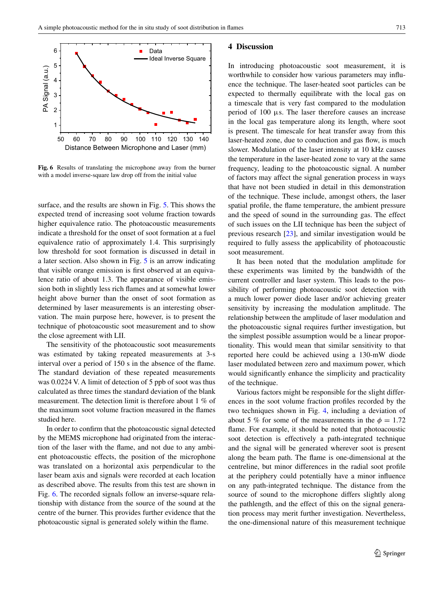

**Fig. 6** Results of translating the microphone away from the burner with a model inverse-square law drop off from the initial value

surface, and the results are shown in Fig. [5.](#page-3-2) This shows the expected trend of increasing soot volume fraction towards higher equivalence ratio. The photoacoustic measurements indicate a threshold for the onset of soot formation at a fuel equivalence ratio of approximately 1.4. This surprisingly low threshold for soot formation is discussed in detail in a later section. Also shown in Fig. [5](#page-3-2) is an arrow indicating that visible orange emission is first observed at an equivalence ratio of about 1.3. The appearance of visible emission both in slightly less rich flames and at somewhat lower height above burner than the onset of soot formation as determined by laser measurements is an interesting observation. The main purpose here, however, is to present the technique of photoacoustic soot measurement and to show the close agreement with LII.

The sensitivity of the photoacoustic soot measurements was estimated by taking repeated measurements at 3-s interval over a period of 150 s in the absence of the flame. The standard deviation of these repeated measurements was 0.0224 V. A limit of detection of 5 ppb of soot was thus calculated as three times the standard deviation of the blank measurement. The detection limit is therefore about 1 % of the maximum soot volume fraction measured in the flames studied here.

In order to confirm that the photoacoustic signal detected by the MEMS microphone had originated from the interaction of the laser with the flame, and not due to any ambient photoacoustic effects, the position of the microphone was translated on a horizontal axis perpendicular to the laser beam axis and signals were recorded at each location as described above. The results from this test are shown in Fig. [6](#page-4-0). The recorded signals follow an inverse-square relationship with distance from the source of the sound at the centre of the burner. This provides further evidence that the photoacoustic signal is generated solely within the flame.

#### **4 Discussion**

In introducing photoacoustic soot measurement, it is worthwhile to consider how various parameters may influence the technique. The laser-heated soot particles can be expected to thermally equilibrate with the local gas on a timescale that is very fast compared to the modulation period of  $100 \mu s$ . The laser therefore causes an increase in the local gas temperature along its length, where soot is present. The timescale for heat transfer away from this laser-heated zone, due to conduction and gas flow, is much slower. Modulation of the laser intensity at 10 kHz causes the temperature in the laser-heated zone to vary at the same frequency, leading to the photoacoustic signal. A number of factors may affect the signal generation process in ways that have not been studied in detail in this demonstration of the technique. These include, amongst others, the laser spatial profile, the flame temperature, the ambient pressure and the speed of sound in the surrounding gas. The effect of such issues on the LII technique has been the subject of previous research [[23\]](#page-6-22), and similar investigation would be required to fully assess the applicability of photoacoustic soot measurement.

It has been noted that the modulation amplitude for these experiments was limited by the bandwidth of the current controller and laser system. This leads to the possibility of performing photoacoustic soot detection with a much lower power diode laser and/or achieving greater sensitivity by increasing the modulation amplitude. The relationship between the amplitude of laser modulation and the photoacoustic signal requires further investigation, but the simplest possible assumption would be a linear proportionality. This would mean that similar sensitivity to that reported here could be achieved using a 130-mW diode laser modulated between zero and maximum power, which would significantly enhance the simplicity and practicality of the technique.

Various factors might be responsible for the slight differences in the soot volume fraction profiles recorded by the two techniques shown in Fig. [4](#page-3-1), including a deviation of about 5 % for some of the measurements in the  $\phi = 1.72$ flame. For example, it should be noted that photoacoustic soot detection is effectively a path-integrated technique and the signal will be generated wherever soot is present along the beam path. The flame is one-dimensional at the centreline, but minor differences in the radial soot profile at the periphery could potentially have a minor influence on any path-integrated technique. The distance from the source of sound to the microphone differs slightly along the pathlength, and the effect of this on the signal generation process may merit further investigation. Nevertheless, the one-dimensional nature of this measurement technique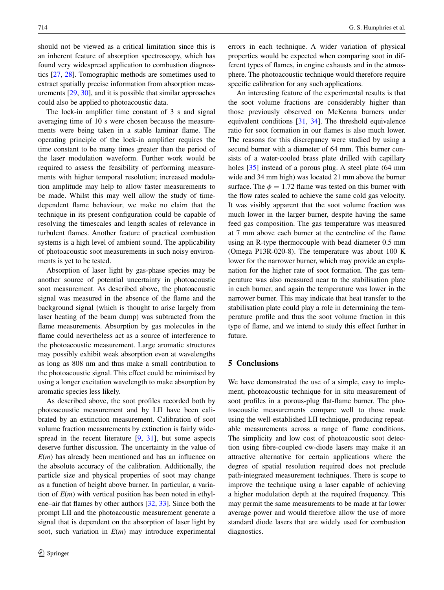should not be viewed as a critical limitation since this is an inherent feature of absorption spectroscopy, which has found very widespread application to combustion diagnostics [\[27](#page-6-26), [28\]](#page-6-27). Tomographic methods are sometimes used to extract spatially precise information from absorption measurements [[29,](#page-6-28) [30\]](#page-6-29), and it is possible that similar approaches could also be applied to photoacoustic data.

<span id="page-6-12"></span>The lock-in amplifier time constant of 3 s and signal averaging time of 10 s were chosen because the measurements were being taken in a stable laminar flame. The operating principle of the lock-in amplifier requires the time constant to be many times greater than the period of the laser modulation waveform. Further work would be required to assess the feasibility of performing measurements with higher temporal resolution; increased modulation amplitude may help to allow faster measurements to be made. Whilst this may well allow the study of timedependent flame behaviour, we make no claim that the technique in its present configuration could be capable of resolving the timescales and length scales of relevance in turbulent flames. Another feature of practical combustion systems is a high level of ambient sound. The applicability of photoacoustic soot measurements in such noisy environments is yet to be tested.

<span id="page-6-13"></span><span id="page-6-5"></span><span id="page-6-4"></span><span id="page-6-3"></span><span id="page-6-2"></span><span id="page-6-1"></span><span id="page-6-0"></span>Absorption of laser light by gas-phase species may be another source of potential uncertainty in photoacoustic soot measurement. As described above, the photoacoustic signal was measured in the absence of the flame and the background signal (which is thought to arise largely from laser heating of the beam dump) was subtracted from the flame measurements. Absorption by gas molecules in the flame could nevertheless act as a source of interference to the photoacoustic measurement. Large aromatic structures may possibly exhibit weak absorption even at wavelengths as long as 808 nm and thus make a small contribution to the photoacoustic signal. This effect could be minimised by using a longer excitation wavelength to make absorption by aromatic species less likely.

<span id="page-6-8"></span><span id="page-6-7"></span><span id="page-6-6"></span>As described above, the soot profiles recorded both by photoacoustic measurement and by LII have been calibrated by an extinction measurement. Calibration of soot volume fraction measurements by extinction is fairly wide-spread in the recent literature [\[9](#page-6-6), [31\]](#page-6-30), but some aspects deserve further discussion. The uncertainty in the value of *E*(*m*) has already been mentioned and has an influence on the absolute accuracy of the calibration. Additionally, the particle size and physical properties of soot may change as a function of height above burner. In particular, a variation of *E*(*m*) with vertical position has been noted in ethylene–air flat flames by other authors [\[32](#page-6-31), [33](#page-6-32)]. Since both the prompt LII and the photoacoustic measurement generate a signal that is dependent on the absorption of laser light by soot, such variation in *E*(*m*) may introduce experimental <span id="page-6-11"></span><span id="page-6-10"></span><span id="page-6-9"></span>errors in each technique. A wider variation of physical properties would be expected when comparing soot in different types of flames, in engine exhausts and in the atmosphere. The photoacoustic technique would therefore require specific calibration for any such applications.

<span id="page-6-26"></span><span id="page-6-25"></span><span id="page-6-24"></span><span id="page-6-23"></span><span id="page-6-22"></span><span id="page-6-21"></span><span id="page-6-20"></span><span id="page-6-19"></span><span id="page-6-18"></span><span id="page-6-17"></span><span id="page-6-16"></span><span id="page-6-15"></span><span id="page-6-14"></span>An interesting feature of the experimental results is that the soot volume fractions are considerably higher than those previously observed on McKenna burners under equivalent conditions [\[31](#page-6-30), [34\]](#page-6-33). The threshold equivalence ratio for soot formation in our flames is also much lower. The reasons for this discrepancy were studied by using a second burner with a diameter of 64 mm. This burner consists of a water-cooled brass plate drilled with capillary holes [\[35](#page-6-34)] instead of a porous plug. A steel plate (64 mm wide and 34 mm high) was located 21 mm above the burner surface. The  $\phi = 1.72$  flame was tested on this burner with the flow rates scaled to achieve the same cold gas velocity. It was visibly apparent that the soot volume fraction was much lower in the larger burner, despite having the same feed gas composition. The gas temperature was measured at 7 mm above each burner at the centreline of the flame using an R-type thermocouple with bead diameter 0.5 mm (Omega P13R-020-8). The temperature was about 100 K lower for the narrower burner, which may provide an explanation for the higher rate of soot formation. The gas temperature was also measured near to the stabilisation plate in each burner, and again the temperature was lower in the narrower burner. This may indicate that heat transfer to the stabilisation plate could play a role in determining the temperature profile and thus the soot volume fraction in this type of flame, and we intend to study this effect further in future.

## <span id="page-6-34"></span><span id="page-6-33"></span><span id="page-6-32"></span><span id="page-6-31"></span><span id="page-6-30"></span><span id="page-6-29"></span><span id="page-6-28"></span><span id="page-6-27"></span>**5 Conclusions**

We have demonstrated the use of a simple, easy to implement, photoacoustic technique for in situ measurement of soot profiles in a porous-plug flat-flame burner. The photoacoustic measurements compare well to those made using the well-established LII technique, producing repeatable measurements across a range of flame conditions. The simplicity and low cost of photoacoustic soot detection using fibre-coupled cw-diode lasers may make it an attractive alternative for certain applications where the degree of spatial resolution required does not preclude path-integrated measurement techniques. There is scope to improve the technique using a laser capable of achieving a higher modulation depth at the required frequency. This may permit the same measurements to be made at far lower average power and would therefore allow the use of more standard diode lasers that are widely used for combustion diagnostics.